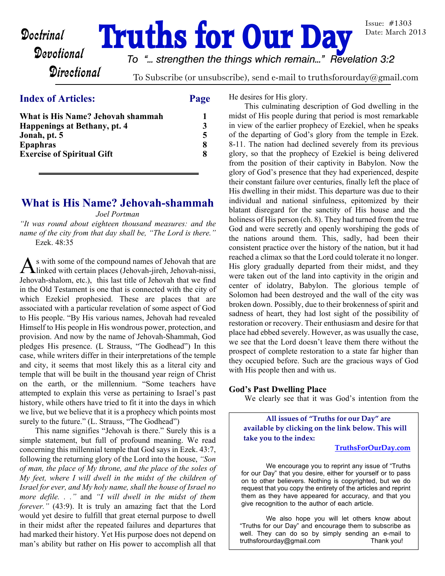# **Doctrinal Truths for Our Day**

Issue: #1303 Date: March 2013

## **Directional**

*To "... strengthen the things which remain..." Revelation 3:2*

To Subscribe (or unsubscribe), send e-mail to truthsforourday@gmail.com

#### **Index of Articles: Page**

| What is His Name? Jehovah shammah   |  |
|-------------------------------------|--|
| <b>Happenings at Bethany, pt. 4</b> |  |
| Jonah, pt. 5                        |  |
| <b>Epaphras</b>                     |  |
| <b>Exercise of Spiritual Gift</b>   |  |

## **What is His Name? Jehovah-shammah**

*Joel Portman*

*"It was round about eighteen thousand measures: and the name of the city from that day shall be, "The Lord is there."* Ezek. 48:35

As with some of the compound names of Jehovah that are<br>linked with certain places (Jehovah-jireh, Jehovah-nissi, s with some of the compound names of Jehovah that are Jehovah-shalom, etc.), this last title of Jehovah that we find in the Old Testament is one that is connected with the city of which Ezekiel prophesied. These are places that are associated with a particular revelation of some aspect of God to His people. "By His various names, Jehovah had revealed Himself to His people in His wondrous power, protection, and provision. And now by the name of Jehovah-Shammah, God pledges His presence. (L Strauss, "The Godhead") In this case, while writers differ in their interpretations of the temple and city, it seems that most likely this as a literal city and temple that will be built in the thousand year reign of Christ on the earth, or the millennium. "Some teachers have attempted to explain this verse as pertaining to Israel's past history, while others have tried to fit it into the days in which we live, but we believe that it is a prophecy which points most surely to the future." (L. Strauss, "The Godhead")

 This name signifies "Jehovah is there." Surely this is a simple statement, but full of profound meaning. We read concerning this millennial temple that God says in Ezek. 43:7, following the returning glory of the Lord into the house, *"Son of man, the place of My throne, and the place of the soles of My feet, where I will dwell in the midst of the children of Israel for ever, and My holy name, shall the house of Israel no more defile. . ."* and *"I will dwell in the midst of them forever.*" (43:9). It is truly an amazing fact that the Lord would yet desire to fulfill that great eternal purpose to dwell in their midst after the repeated failures and departures that had marked their history. Yet His purpose does not depend on man's ability but rather on His power to accomplish all that

He desires for His glory.

 This culminating description of God dwelling in the midst of His people during that period is most remarkable in view of the earlier prophecy of Ezekiel, when he speaks of the departing of God's glory from the temple in Ezek. 8-11. The nation had declined severely from its previous glory, so that the prophecy of Ezekiel is being delivered from the position of their captivity in Babylon. Now the glory of God's presence that they had experienced, despite their constant failure over centuries, finally left the place of His dwelling in their midst. This departure was due to their individual and national sinfulness, epitomized by their blatant disregard for the sanctity of His house and the holiness of His person (ch. 8). They had turned from the true God and were secretly and openly worshiping the gods of the nations around them. This, sadly, had been their consistent practice over the history of the nation, but it had reached a climax so that the Lord could tolerate it no longer. His glory gradually departed from their midst, and they were taken out of the land into captivity in the origin and center of idolatry, Babylon. The glorious temple of Solomon had been destroyed and the wall of the city was broken down. Possibly, due to their brokenness of spirit and sadness of heart, they had lost sight of the possibility of restoration or recovery. Their enthusiasm and desire for that place had ebbed severely. However, as was usually the case, we see that the Lord doesn't leave them there without the prospect of complete restoration to a state far higher than they occupied before. Such are the gracious ways of God with His people then and with us.

#### **God's Past Dwelling Place**

We clearly see that it was God's intention from the

**All issues of "Truths for our Day" are available by clicking on the link below. This will take you to the index:**

#### **[TruthsForOurDay.com](http://truthsforourday.com)**

 We encourage you to reprint any issue of "Truths for our Day" that you desire, either for yourself or to pass on to other believers. Nothing is copyrighted, but we do request that you copy the entirety of the articles and reprint them as they have appeared for accuracy, and that you give recognition to the author of each article.

 We also hope you will let others know about "Truths for our Day" and encourage them to subscribe as well. They can do so by simply sending an e-mail to truthsforourday@gmail.com Thank you!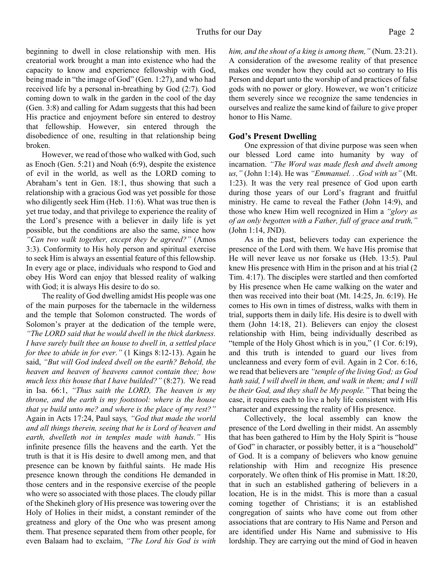beginning to dwell in close relationship with men. His creatorial work brought a man into existence who had the capacity to know and experience fellowship with God, being made in "the image of God" (Gen. 1:27), and who had received life by a personal in-breathing by God (2:7). God coming down to walk in the garden in the cool of the day (Gen. 3:8) and calling for Adam suggests that this had been His practice and enjoyment before sin entered to destroy that fellowship. However, sin entered through the disobedience of one, resulting in that relationship being broken.

However, we read of those who walked with God, such as Enoch (Gen. 5:21) and Noah (6:9), despite the existence of evil in the world, as well as the LORD coming to Abraham's tent in Gen. 18:1, thus showing that such a relationship with a gracious God was yet possible for those who diligently seek Him (Heb. 11:6). What was true then is yet true today, and that privilege to experience the reality of the Lord's presence with a believer in daily life is yet possible, but the conditions are also the same, since how *"Can two walk together, except they be agreed?"* (Amos 3:3). Conformity to His holy person and spiritual exercise to seek Him is always an essential feature of this fellowship. In every age or place, individuals who respond to God and obey His Word can enjoy that blessed reality of walking with God; it is always His desire to do so.

The reality of God dwelling amidst His people was one of the main purposes for the tabernacle in the wilderness and the temple that Solomon constructed. The words of Solomon's prayer at the dedication of the temple were, *"The LORD said that he would dwell in the thick darkness. I have surely built thee an house to dwell in, a settled place for thee to abide in for ever."* (1 Kings 8:12-13). Again he said, *"But will God indeed dwell on the earth? Behold, the heaven and heaven of heavens cannot contain thee; how much less this house that I have builded?"* (8:27). We read in Isa. 66:1, *"Thus saith the LORD, The heaven is my throne, and the earth is my footstool: where is the house that ye build unto me? and where is the place of my rest?"* Again in Acts 17:24, Paul says*, "God that made the world and all things therein, seeing that he is Lord of heaven and earth, dwelleth not in temples made with hands."* His infinite presence fills the heavens and the earth. Yet the truth is that it is His desire to dwell among men, and that presence can be known by faithful saints. He made His presence known through the conditions He demanded in those centers and in the responsive exercise of the people who were so associated with those places. The cloudy pillar of the Shekineh glory of His presence was towering over the Holy of Holies in their midst, a constant reminder of the greatness and glory of the One who was present among them. That presence separated them from other people, for even Balaam had to exclaim, *"The Lord his God is with*

*him, and the shout of a king is among them,"* (Num. 23:21). A consideration of the awesome reality of that presence makes one wonder how they could act so contrary to His Person and depart unto the worship of and practices of false gods with no power or glory. However, we won't criticize them severely since we recognize the same tendencies in ourselves and realize the same kind of failure to give proper honor to His Name.

#### **God's Present Dwelling**

 One expression of that divine purpose was seen when our blessed Lord came into humanity by way of incarnation. *"The Word was made flesh and dwelt among us,"* (John 1:14). He was *"Emmanuel. . .God with us"* (Mt. 1:23). It was the very real presence of God upon earth during those years of our Lord's fragrant and fruitful ministry. He came to reveal the Father (John 14:9), and those who knew Him well recognized in Him a *"glory as of an only begotten with a Father, full of grace and truth,"* (John 1:14, JND).

 As in the past, believers today can experience the presence of the Lord with them. We have His promise that He will never leave us nor forsake us (Heb. 13:5). Paul knew His presence with Him in the prison and at his trial (2 Tim. 4:17). The disciples were startled and then comforted by His presence when He came walking on the water and then was received into their boat (Mt. 14:25, Jn. 6:19). He comes to His own in times of distress, walks with them in trial, supports them in daily life. His desire is to dwell with them (John 14:18, 21). Believers can enjoy the closest relationship with Him, being individually described as "temple of the Holy Ghost which is in you," (1 Cor. 6:19), and this truth is intended to guard our lives from uncleanness and every form of evil. Again in 2 Cor. 6:16, we read that believers are *"temple of the living God; as God hath said, I will dwell in them, and walk in them; and I will be their God, and they shall be My people."* That being the case, it requires each to live a holy life consistent with His character and expressing the reality of His presence.

 Collectively, the local assembly can know the presence of the Lord dwelling in their midst. An assembly that has been gathered to Him by the Holy Spirit is "house of God" in character, or possibly better, it is a "household" of God. It is a company of believers who know genuine relationship with Him and recognize His presence corporately. We often think of His promise in Matt. 18:20, that in such an established gathering of believers in a location, He is in the midst. This is more than a casual coming together of Christians; it is an established congregation of saints who have come out from other associations that are contrary to His Name and Person and are identified under His Name and submissive to His lordship. They are carrying out the mind of God in heaven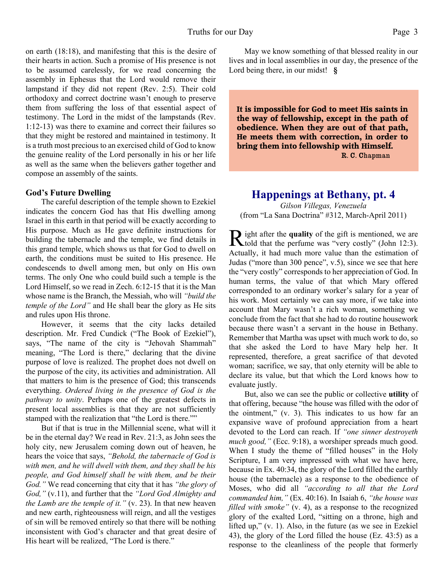on earth (18:18), and manifesting that this is the desire of their hearts in action. Such a promise of His presence is not to be assumed carelessly, for we read concerning the assembly in Ephesus that the Lord would remove their lampstand if they did not repent (Rev. 2:5). Their cold orthodoxy and correct doctrine wasn't enough to preserve them from suffering the loss of that essential aspect of testimony. The Lord in the midst of the lampstands (Rev. 1:12-13) was there to examine and correct their failures so that they might be restored and maintained in testimony. It is a truth most precious to an exercised child of God to know the genuine reality of the Lord personally in his or her life as well as the same when the believers gather together and compose an assembly of the saints.

#### **God's Future Dwelling**

 The careful description of the temple shown to Ezekiel indicates the concern God has that His dwelling among Israel in this earth in that period will be exactly according to His purpose. Much as He gave definite instructions for building the tabernacle and the temple, we find details in this grand temple, which shows us that for God to dwell on earth, the conditions must be suited to His presence. He condescends to dwell among men, but only on His own terms. The only One who could build such a temple is the Lord Himself, so we read in Zech. 6:12-15 that it is the Man whose name is the Branch, the Messiah, who will *"build the temple of the Lord"* and He shall bear the glory as He sits and rules upon His throne.

 However, it seems that the city lacks detailed description. Mr. Fred Cundick ("The Book of Ezekiel"), says, "The name of the city is "Jehovah Shammah" meaning, "The Lord is there," declaring that the divine purpose of love is realized. The prophet does not dwell on the purpose of the city, its activities and administration. All that matters to him is the presence of God; this transcends everything. *Ordered living in the presence of God is the pathway to unity*. Perhaps one of the greatest defects in present local assemblies is that they are not sufficiently stamped with the realization that "the Lord is there.""

 But if that is true in the Millennial scene, what will it be in the eternal day? We read in Rev. 21:3, as John sees the holy city, new Jerusalem coming down out of heaven, he hears the voice that says, *"Behold, the tabernacle of God is with men, and he will dwell with them, and they shall be his people, and God himself shall be with them, and be their God."* We read concerning that city that it has *"the glory of God,"* (v.11), and further that the *"Lord God Almighty and the Lamb are the temple of it."* (v. 23). In that new heaven and new earth, righteousness will reign, and all the vestiges of sin will be removed entirely so that there will be nothing inconsistent with God's character and that great desire of His heart will be realized, "The Lord is there."

 May we know something of that blessed reality in our lives and in local assemblies in our day, the presence of the Lord being there, in our midst! **§**

**It is impossible for God to meet His saints in the way of fellowship, except in the path of obedience. When they are out of that path, He meets them with correction, in order to bring them into fellowship with Himself.** R. C. Chapman

#### **Happenings at Bethany, pt. 4**

*Gilson Villegas, Venezuela* (from "La Sana Doctrina" #312, March-April 2011)

R ight after the **quality** of the gift is mentioned, we are<br>told that the perfume was "very costly" (John 12:3). told that the perfume was "very costly" (John 12:3). Actually, it had much more value than the estimation of Judas ("more than 300 pence", v.5), since we see that here the "very costly" corresponds to her appreciation of God. In human terms, the value of that which Mary offered corresponded to an ordinary worker's salary for a year of his work. Most certainly we can say more, if we take into account that Mary wasn't a rich woman, something we conclude from the fact that she had to do routine housework because there wasn't a servant in the house in Bethany. Remember that Martha was upset with much work to do, so that she asked the Lord to have Mary help her. It represented, therefore, a great sacrifice of that devoted woman; sacrifice, we say, that only eternity will be able to declare its value, but that which the Lord knows how to evaluate justly.

 But, also we can see the public or collective **utility** of that offering, because "the house was filled with the odor of the ointment," (v. 3). This indicates to us how far an expansive wave of profound appreciation from a heart devoted to the Lord can reach. If *"one sinner destroyeth much good,"* (Ecc. 9:18), a worshiper spreads much good. When I study the theme of "filled houses" in the Holy Scripture, I am very impressed with what we have here, because in Ex. 40:34, the glory of the Lord filled the earthly house (the tabernacle) as a response to the obedience of Moses, who did all *"according to all that the Lord commanded him,"* (Ex. 40:16). In Isaiah 6, *"the house was filled with smoke"* (v. 4), as a response to the recognized glory of the exalted Lord, "sitting on a throne, high and lifted up," (v. 1). Also, in the future (as we see in Ezekiel 43), the glory of the Lord filled the house (Ez. 43:5) as a response to the cleanliness of the people that formerly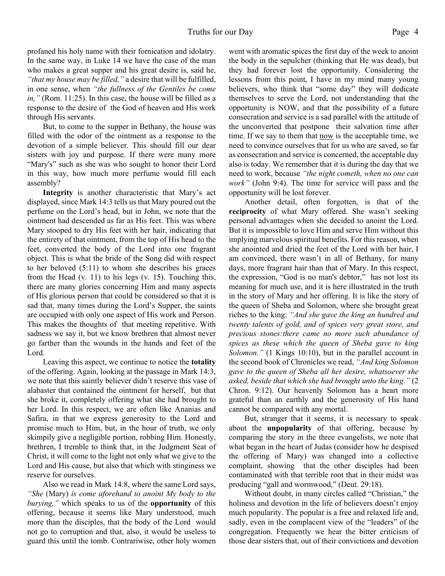profaned his holy name with their fornication and idolatry. In the same way, in Luke 14 we have the case of the man who makes a great supper and his great desire is, said he, *"that my house may be filled,"* a desire that will be fulfilled, in one sense, when *"the fullness of the Gentiles be come in,"* (Rom. 11:25). In this case, the house will be filled as a response to the desire of the God of heaven and His work through His servants.

 But, to come to the supper in Bethany, the house was filled with the odor of the ointment as a response to the devotion of a simple believer. This should fill our dear sisters with joy and purpose. If there were many more "Mary's" such as she was who sought to honor their Lord in this way, how much more perfume would fill each assembly?

**Integrity** is another characteristic that Mary's act displayed, since Mark 14:3 tells us that Mary poured out the perfume on the Lord's head, but in John, we note that the ointment had descended as far as His feet. This was where Mary stooped to dry His feet with her hair, indicating that the entirety of that ointment, from the top of His head to the feet, converted the body of the Lord into one fragrant object. This is what the bride of the Song did with respect to her beloved (5:11) to whom she describes his graces from the Head (v. 11) to his legs (v. 15). Touching this, there are many glories concerning Him and many aspects of His glorious person that could be considered so that it is sad that, many times during the Lord's Supper, the saints are occupied with only one aspect of His work and Person. This makes the thoughts of that meeting repetitive. With sadness we say it, but we know brethren that almost never go farther than the wounds in the hands and feet of the Lord.

 Leaving this aspect, we continue to notice the **totality** of the offering. Again, looking at the passage in Mark 14:3, we note that this saintly believer didn't reserve this vase of alabaster that contained the ointment for herself, but that she broke it, completely offering what she had brought to her Lord. In this respect, we are often like Ananias and Safira, in that we express generosity to the Lord and promise much to Him, but, in the hour of truth, we only skimpily give a negligible portion, robbing Him. Honestly, brethren, I tremble to think that, in the Judgment Seat of Christ, it will come to the light not only what we give to the Lord and His cause, but also that which with stinginess we reserve for ourselves.

 Also we read in Mark 14:8, where the same Lord says, *"She* (Mary) *is come aforehand to anoint My body to the burying,"* which speaks to us of the **opportunity** of this offering, because it seems like Mary understood, much more than the disciples, that the body of the Lord would not go to corruption and that, also, it would be useless to guard this until the tomb. Contrariwise, other holy women went with aromatic spices the first day of the week to anoint the body in the sepulcher (thinking that He was dead), but they had forever lost the opportunity. Considering the lessons from this point, I have in my mind many young believers, who think that "some day" they will dedicate themselves to serve the Lord, not understanding that the opportunity is NOW, and that the possibility of a future consecration and service is a sad parallel with the attitude of the unconverted that postpone their salvation time after time. If we say to them that now is the acceptable time, we need to convince ourselves that for us who are saved, so far as consecration and service is concerned, the acceptable day also is today. We remember that it is during the day that we need to work, because *"the night cometh, when no one can work"* (John 9:4). The time for service will pass and the opportunity will be lost forever.

 Another detail, often forgotten, is that of the **reciprocity** of what Mary offered. She wasn't seeking personal advantages when she decided to anoint the Lord. But it is impossible to love Him and serve Him without this implying marvelous spiritual benefits. For this reason, when she anointed and dried the feet of the Lord with her hair, I am convinced, there wasn't in all of Bethany, for many days, more fragrant hair than that of Mary. In this respect, the expression, "God is no man's debtor," has not lost its meaning for much use, and it is here illustrated in the truth in the story of Mary and her offering. It is like the story of the queen of Sheba and Solomon, where she brought great riches to the king: *"And she gave the king an hundred and twenty talents of gold, and of spices very great store, and precious stones:there came no more such abundance of spices as these which the queen of Sheba gave to king Solomon.*" (1 Kings 10:10), but in the parallel account in the second book of Chronicles we read, *"And king Solomon gave to the queen of Sheba all her desire, whatsoever she asked, beside that which she had brought unto the king."* (2 Chron. 9:12). Our heavenly Solomon has a heart more grateful than an earthly and the generosity of His hand cannot be compared with any mortal.

 But, stranger that it seems, it is necessary to speak about the **unpopularity** of that offering, because by comparing the story in the three evangelists, we note that what began in the heart of Judas (consider how he despised the offering of Mary) was changed into a collective complaint, showing that the other disciples had been contaminated with that terrible root that in their midst was producing "gall and wormwood," (Deut. 29:18).

 Without doubt, in many circles called "Christian," the holiness and devotion in the life of believers doesn't enjoy much popularity. The popular is a free and relaxed life and, sadly, even in the complacent view of the "leaders" of the congregation. Frequently we hear the bitter criticism of those dear sisters that, out of their convictions and devotion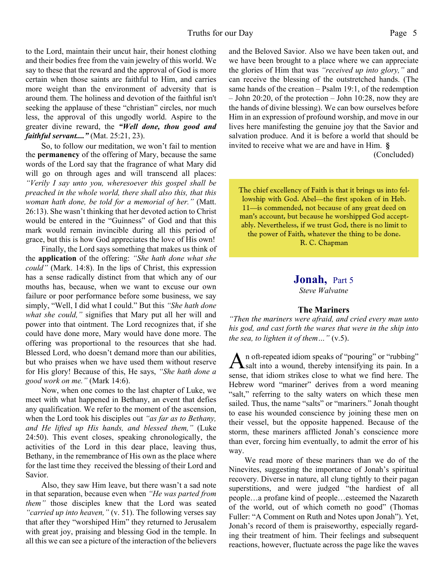to the Lord, maintain their uncut hair, their honest clothing and their bodies free from the vain jewelry of this world. We say to these that the reward and the approval of God is more certain when those saints are faithful to Him, and carries more weight than the environment of adversity that is around them. The holiness and devotion of the faithful isn't seeking the applause of these "christian" circles, nor much less, the approval of this ungodly world. Aspire to the greater divine reward, the *"Well done, thou good and faithful servant...."* (Mat. 25:21, 23).

 So, to follow our meditation, we won't fail to mention the **permanency** of the offering of Mary, because the same words of the Lord say that the fragrance of what Mary did will go on through ages and will transcend all places: *"Verily I say unto you, wheresoever this gospel shall be preached in the whole world, there shall also this, that this woman hath done, be told for a memorial of her."* (Matt. 26:13). She wasn't thinking that her devoted action to Christ would be entered in the "Guinness" of God and that this mark would remain invincible during all this period of grace, but this is how God appreciates the love of His own!

 Finally, the Lord says something that makes us think of the **application** of the offering: *"She hath done what she could"* (Mark. 14:8). In the lips of Christ, this expression has a sense radically distinct from that which any of our mouths has, because, when we want to excuse our own failure or poor performance before some business, we say simply, "Well, I did what I could." But this *"She hath done what she could,"* signifies that Mary put all her will and power into that ointment. The Lord recognizes that, if she could have done more, Mary would have done more. The offering was proportional to the resources that she had. Blessed Lord, who doesn't demand more than our abilities, but who praises when we have used them without reserve for His glory! Because of this, He says, *"She hath done a good work on me."* (Mark 14:6).

 Now, when one comes to the last chapter of Luke, we meet with what happened in Bethany, an event that defies any qualification. We refer to the moment of the ascension, when the Lord took his disciples out *"as far as to Bethany, and He lifted up His hands, and blessed them,"* (Luke 24:50). This event closes, speaking chronologically, the activities of the Lord in this dear place, leaving thus, Bethany, in the remembrance of His own as the place where for the last time they received the blessing of their Lord and Savior.

 Also, they saw Him leave, but there wasn't a sad note in that separation, because even when *"He was parted from them"* those disciples knew that the Lord was seated *"carried up into heaven,"* (v. 51). The following verses say that after they "worshiped Him" they returned to Jerusalem with great joy, praising and blessing God in the temple. In all this we can see a picture of the interaction of the believers

and the Beloved Savior. Also we have been taken out, and we have been brought to a place where we can appreciate the glories of Him that was *"received up into glory,"* and can receive the blessing of the outstretched hands. (The same hands of the creation – Psalm 19:1, of the redemption – John 20:20, of the protection – John 10:28, now they are the hands of divine blessing). We can bow ourselves before Him in an expression of profound worship, and move in our lives here manifesting the genuine joy that the Savior and salvation produce. And it is before a world that should be invited to receive what we are and have in Him. **§** (Concluded)

The chief excellency of Faith is that it brings us into fellowship with God. Abel—the first spoken of in Heb. 11—is commended, not because of any great deed on man's account, but because he worshipped God acceptably. Nevertheless, if we trust God, there is no limit to the power of Faith, whatever the thing to be done. R. C. Chapman

#### **Jonah,** Part 5 *Steve Walvatne*

#### **The Mariners**

*"Then the mariners were afraid, and cried every man unto his god, and cast forth the wares that were in the ship into the sea, to lighten it of them…"* (v.5).

A n oft-repeated idiom speaks of "pouring" or "rubbing"<br>Salt into a wound, thereby intensifying its pain. In a n oft-repeated idiom speaks of "pouring" or "rubbing" sense, that idiom strikes close to what we find here. The Hebrew word "mariner" derives from a word meaning "salt," referring to the salty waters on which these men sailed. Thus, the name "salts" or "mariners." Jonah thought to ease his wounded conscience by joining these men on their vessel, but the opposite happened. Because of the storm, these mariners afflicted Jonah's conscience more than ever, forcing him eventually, to admit the error of his way.

 We read more of these mariners than we do of the Ninevites, suggesting the importance of Jonah's spiritual recovery. Diverse in nature, all clung tightly to their pagan superstitions, and were judged "the hardiest of all people…a profane kind of people…esteemed the Nazareth of the world, out of which cometh no good" (Thomas Fuller: "A Comment on Ruth and Notes upon Jonah"). Yet, Jonah's record of them is praiseworthy, especially regarding their treatment of him. Their feelings and subsequent reactions, however, fluctuate across the page like the waves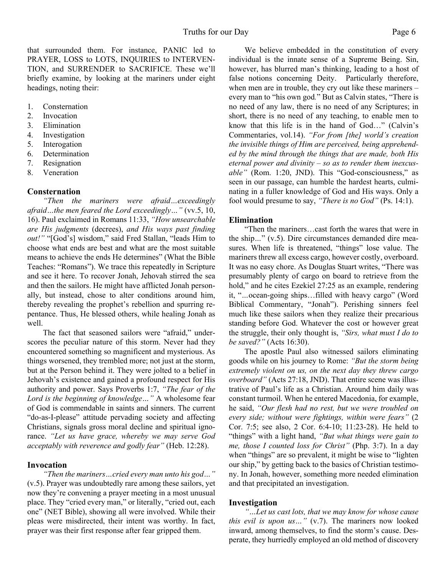that surrounded them. For instance, PANIC led to PRAYER, LOSS to LOTS, INQUIRIES to INTERVEN-TION, and SURRENDER to SACRIFICE. These we'll briefly examine, by looking at the mariners under eight headings, noting their:

- 1. Consternation
- 2. Invocation
- 3. Elimination
- 4. Investigation
- 5. Interogation
- 6. Determination
- 7. Resignation
- 8. Veneration

#### **Consternation**

*"Then the mariners were afraid…exceedingly afraid…the men feared the Lord exceedingly…"* (vv.5, 10, 16). Paul exclaimed in Romans 11:33, *"How unsearchable are His judgments* (decrees), *and His ways past finding out!"* "[God's] wisdom," said Fred Stallan, "leads Him to choose what ends are best and what are the most suitable means to achieve the ends He determines" (What the Bible Teaches: "Romans"). We trace this repeatedly in Scripture and see it here. To recover Jonah, Jehovah stirred the sea and then the sailors. He might have afflicted Jonah personally, but instead, chose to alter conditions around him, thereby revealing the prophet's rebellion and spurring repentance. Thus, He blessed others, while healing Jonah as well.

 The fact that seasoned sailors were "afraid," underscores the peculiar nature of this storm. Never had they encountered something so magnificent and mysterious. As things worsened, they trembled more; not just at the storm, but at the Person behind it. They were jolted to a belief in Jehovah's existence and gained a profound respect for His authority and power. Says Proverbs 1:7, *"The fear of the Lord is the beginning of knowledge…"* A wholesome fear of God is commendable in saints and sinners. The current "do-as-I-please" attitude pervading society and affecting Christians, signals gross moral decline and spiritual ignorance. *"Let us have grace, whereby we may serve God acceptably with reverence and godly fear"* (Heb. 12:28).

#### **Invocation**

*"Then the mariners…cried every man unto his god…"* (v.5). Prayer was undoubtedly rare among these sailors, yet now they're convening a prayer meeting in a most unusual place. They "cried every man," or literally, "cried out, each one" (NET Bible), showing all were involved. While their pleas were misdirected, their intent was worthy. In fact, prayer was their first response after fear gripped them.

 We believe embedded in the constitution of every individual is the innate sense of a Supreme Being. Sin, however, has blurred man's thinking, leading to a host of false notions concerning Deity. Particularly therefore, when men are in trouble, they cry out like these mariners – every man to "his own god*.*" But as Calvin states, "There is no need of any law, there is no need of any Scriptures; in short, there is no need of any teaching, to enable men to know that this life is in the hand of God…" (Calvin's Commentaries, vol.14). *"For from [the] world's creation the invisible things of Him are perceived, being apprehended by the mind through the things that are made, both His eternal power and divinity – so as to render them inexcusable"* (Rom. 1:20, JND). This "God-consciousness," as seen in our passage, can humble the hardest hearts, culminating in a fuller knowledge of God and His ways. Only a fool would presume to say, *"There is no God"* (Ps. 14:1).

#### **Elimination**

"Then the mariners…cast forth the wares that were in the ship*…*" (v.5). Dire circumstances demanded dire measures. When life is threatened, "things" lose value. The mariners threw all excess cargo, however costly, overboard. It was no easy chore. As Douglas Stuart writes, "There was presumably plenty of cargo on board to retrieve from the hold," and he cites Ezekiel 27:25 as an example, rendering it, "*…*ocean-going ships…filled with heavy cargo" (Word Biblical Commentary, "Jonah"). Perishing sinners feel much like these sailors when they realize their precarious standing before God. Whatever the cost or however great the struggle, their only thought is, *"Sirs, what must I do to be saved?"* (Acts 16:30).

 The apostle Paul also witnessed sailors eliminating goods while on his journey to Rome: *"But the storm being extremely violent on us, on the next day they threw cargo overboard"* (Acts 27:18, JND). That entire scene was illustrative of Paul's life as a Christian. Around him daily was constant turmoil. When he entered Macedonia, for example, he said, *"Our flesh had no rest, but we were troubled on every side; without were fightings, within were fears"* (2 Cor. 7:5; see also, 2 Cor. 6:4-10; 11:23-28). He held to "things" with a light hand, *"But what things were gain to me, those I counted loss for Christ"* (Php. 3:7). In a day when "things" are so prevalent, it might be wise to "lighten" our ship," by getting back to the basics of Christian testimony. In Jonah, however, something more needed elimination and that precipitated an investigation.

#### **Investigation**

*"…Let us cast lots, that we may know for whose cause this evil is upon us…"* (v.7). The mariners now looked inward, among themselves, to find the storm's cause. Desperate, they hurriedly employed an old method of discovery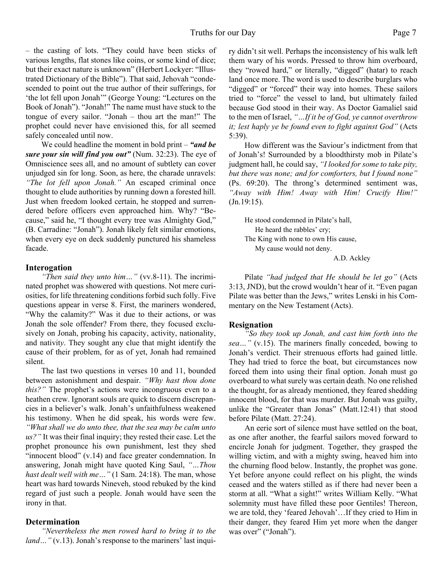– the casting of lots. "They could have been sticks of various lengths, flat stones like coins, or some kind of dice; but their exact nature is unknown" (Herbert Lockyer: "Illustrated Dictionary of the Bible"). That said, Jehovah "condescended to point out the true author of their sufferings, for 'the lot fell upon Jonah'" (George Young: "Lectures on the Book of Jonah"). "Jonah!" The name must have stuck to the tongue of every sailor. "Jonah – thou art the man!" The prophet could never have envisioned this, for all seemed safely concealed until now.

 We could headline the moment in bold print – *"and be sure your sin will find you out"* (Num. 32:23). The eye of Omniscience sees all, and no amount of subtlety can cover unjudged sin for long. Soon, as here, the charade unravels: *"The lot fell upon Jonah."* An escaped criminal once thought to elude authorities by running down a forested hill. Just when freedom looked certain, he stopped and surrendered before officers even approached him. Why? "Because," said he, "I thought every tree was Almighty God," (B. Carradine: "Jonah"). Jonah likely felt similar emotions, when every eye on deck suddenly punctured his shameless facade.

#### **Interogation**

*"Then said they unto him…"* (vv.8-11). The incriminated prophet was showered with questions. Not mere curiosities, for life threatening conditions forbid such folly. Five questions appear in verse 8. First, the mariners wondered, "Why the calamity?" Was it due to their actions, or was Jonah the sole offender? From there, they focused exclusively on Jonah, probing his capacity, activity, nationality, and nativit*y*. They sought any clue that might identify the cause of their problem, for as of yet, Jonah had remained silent.

 The last two questions in verses 10 and 11, bounded between astonishment and despair. *"Why hast thou done this?"* The prophet's actions were incongruous even to a heathen crew. Ignorant souls are quick to discern discrepancies in a believer's walk. Jonah's unfaithfulness weakened his testimony. When he did speak, his words were few. *"What shall we do unto thee, that the sea may be calm unto us?"* It was their final inquiry; they rested their case. Let the prophet pronounce his own punishment, lest they shed "innocent blood" (v.14) and face greater condemnation. In answering, Jonah might have quoted King Saul, *"…Thou hast dealt well with me…"* (1 Sam. 24:18). The man, whose heart was hard towards Nineveh, stood rebuked by the kind regard of just such a people. Jonah would have seen the irony in that.

#### **Determination**

*"Nevertheless the men rowed hard to bring it to the land* ... " (v.13). Jonah's response to the mariners' last inquiry didn't sit well. Perhaps the inconsistency of his walk left them wary of his words. Pressed to throw him overboard, they "rowed hard," or literally, "digged" (hatar) to reach land once more. The word is used to describe burglars who "digged" or "forced" their way into homes. These sailors tried to "force" the vessel to land, but ultimately failed because God stood in their way. As Doctor Gamaliel said to the men of Israel, *"…If it be of God, ye cannot overthrow it; lest haply ye be found even to fight against God"* (Acts 5:39).

 How different was the Saviour's indictment from that of Jonah's! Surrounded by a bloodthirsty mob in Pilate's judgment hall, he could say, *"I looked for some to take pity, but there was none; and for comforters, but I found none"* (Ps. 69:20). The throng's determined sentiment was, *"Away with Him! Away with Him! Crucify Him!"* (Jn.19:15).

He stood condemned in Pilate's hall, He heard the rabbles' cry; The King with none to own His cause, My cause would not deny. A.D. Ackley

Pilate *"had judged that He should be let go"* (Acts 3:13, JND), but the crowd wouldn't hear of it. "Even pagan Pilate was better than the Jews," writes Lenski in his Commentary on the New Testament (Acts).

#### **Resignation**

*"So they took up Jonah, and cast him forth into the sea…"* (v.15). The mariners finally conceded, bowing to Jonah's verdict. Their strenuous efforts had gained little. They had tried to force the boat, but circumstances now forced them into using their final option. Jonah must go overboard to what surely was certain death. No one relished the thought, for as already mentioned, they feared shedding innocent blood, for that was murder. But Jonah was guilty, unlike the "Greater than Jonas" (Matt.12:41) that stood before Pilate (Matt. 27:24).

 An eerie sort of silence must have settled on the boat, as one after another, the fearful sailors moved forward to encircle Jonah for judgment. Together, they grasped the willing victim, and with a mighty swing, heaved him into the churning flood below. Instantly, the prophet was gone. Yet before anyone could reflect on his plight, the winds ceased and the waters stilled as if there had never been a storm at all. "What a sight!" writes William Kelly. "What solemnity must have filled these poor Gentiles! Thereon, we are told, they 'feared Jehovah'…If they cried to Him in their danger, they feared Him yet more when the danger was over" ("Jonah").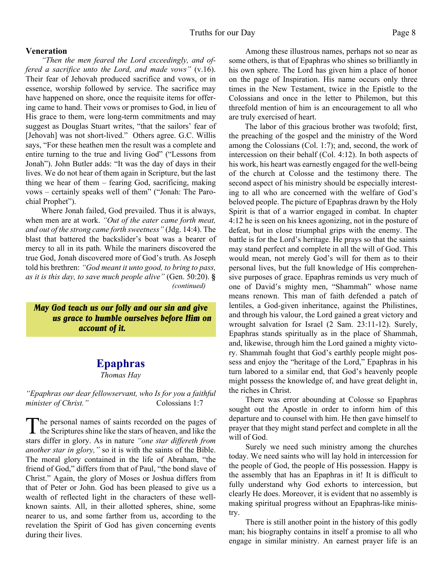#### **Veneration**

*"Then the men feared the Lord exceedingly, and offered a sacrifice unto the Lord, and made vows"* (v.16). Their fear of Jehovah produced sacrifice and vows, or in essence, worship followed by service. The sacrifice may have happened on shore, once the requisite items for offering came to hand. Their vows or promises to God, in lieu of His grace to them, were long-term commitments and may suggest as Douglas Stuart writes, "that the sailors' fear of [Jehovah] was not short-lived." Others agree. G.C. Willis says, "For these heathen men the result was a complete and entire turning to the true and living God" ("Lessons from Jonah"). John Butler adds: "It was the day of days in their lives. We do not hear of them again in Scripture, but the last thing we hear of them – fearing God, sacrificing, making vows – certainly speaks well of them" ("Jonah: The Parochial Prophet").

 Where Jonah failed, God prevailed. Thus it is always, when men are at work. *"Out of the eater came forth meat, and out of the strong came forth sweetness"* (Jdg. 14:4). The blast that battered the backslider's boat was a bearer of mercy to all in its path. While the mariners discovered the true God, Jonah discovered more of God's truth. As Joseph told his brethren: *"God meant it unto good, to bring to pass, as it is this day, to save much people alive"* (Gen. 50:20). **§** *(continued)*

 *May God teach us our folly and our sin and give us grace to humble ourselves before Him on account of it.*

#### **Epaphras**

*Thomas Hay*

#### *"Epaphras our dear fellowservant, who Is for you a faithful minister of Christ.*" Colossians 1:7

The personal names of saints recorded on the pages of<br>the Scriptures shine like the stars of heaven, and like the he personal names of saints recorded on the pages of stars differ in glory. As in nature *"one star differeth from another star in glory,"* so it is with the saints of the Bible. The moral glory contained in the life of Abraham, "the friend of God," differs from that of Paul, "the bond slave of Christ." Again, the glory of Moses or Joshua differs from that of Peter or John. God has been pleased to give us a wealth of reflected light in the characters of these wellknown saints. All, in their allotted spheres, shine, some nearer to us, and some farther from us, according to the revelation the Spirit of God has given concerning events during their lives.

Among these illustrous names, perhaps not so near as some others, is that of Epaphras who shines so brilliantly in his own sphere. The Lord has given him a place of honor on the page of Inspiration. His name occurs only three times in the New Testament, twice in the Epistle to the Colossians and once in the letter to Philemon, but this threefold mention of him is an encouragement to all who are truly exercised of heart.

The labor of this gracious brother was twofold; first, the preaching of the gospel and the ministry of the Word among the Colossians (Col. 1:7); and, second, the work of intercession on their behalf (Col. 4:12). In both aspects of his work, his heart was earnestly engaged for the well-being of the church at Colosse and the testimony there. The second aspect of his ministry should be especially interesting to all who are concerned with the welfare of God's beloved people. The picture of Epaphras drawn by the Holy Spirit is that of a warrior engaged in combat. In chapter 4:12 he is seen on his knees agonizing, not in the posture of defeat, but in close triumphal grips with the enemy. The battle is for the Lord's heritage. He prays so that the saints may stand perfect and complete in all the will of God. This would mean, not merely God's will for them as to their personal lives, but the full knowledge of His comprehensive purposes of grace. Epaphras reminds us very much of one of David's mighty men, "Shammah" whose name means renown. This man of faith defended a patch of lentiles, a God-given inheritance, against the Philistines, and through his valour, the Lord gained a great victory and wrought salvation for Israel (2 Sam. 23:11-12). Surely, Epaphras stands spiritually as in the place of Shammah, and, likewise, through him the Lord gained a mighty victory. Shammah fought that God's earthly people might possess and enjoy the "heritage of the Lord," Epaphras in his turn labored to a similar end, that God's heavenly people might possess the knowledge of, and have great delight in, the riches in Christ.

There was error abounding at Colosse so Epaphras sought out the Apostle in order to inform him of this departure and to counsel with him. He then gave himself to prayer that they might stand perfect and complete in all the will of God.

Surely we need such ministry among the churches today. We need saints who will lay hold in intercession for the people of God, the people of His possession. Happy is the assembly that has an Epaphras in it! It is difficult to fully understand why God exhorts to intercession, but clearly He does. Moreover, it is evident that no assembly is making spiritual progress without an Epaphras-like ministry.

There is still another point in the history of this godly man; his biography contains in itself a promise to all who engage in similar ministry. An earnest prayer life is an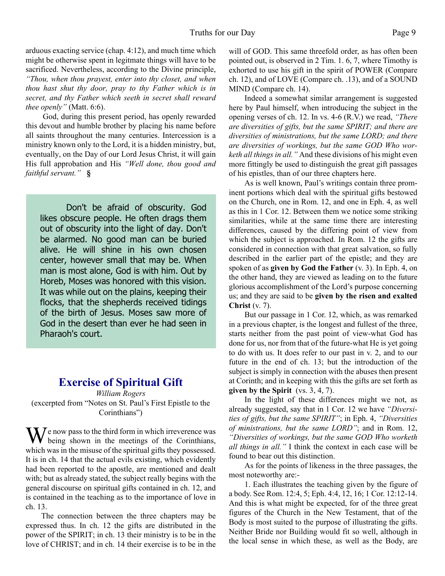arduous exacting service (chap. 4:12), and much time which might be otherwise spent in legitmate things will have to be sacrificed. Nevertheless, according to the Divine principle, *"Thou, when thou prayest, enter into thy closet, and when thou hast shut thy door, pray to thy Father which is in secret, and thy Father which seeth in secret shall reward thee openly"* (Matt. 6:6).

God, during this present period, has openly rewarded this devout and humble brother by placing his name before all saints throughout the many centuries. Intercession is a ministry known only to the Lord, it is a hidden ministry, but, eventually, on the Day of our Lord Jesus Christ, it will gain His full approbation and His *"Well done, thou good and faithful servant."* **§**

Don't be afraid of obscurity. God likes obscure people. He often drags them out of obscurity into the light of day. Don't be alarmed. No good man can be buried alive. He will shine in his own chosen center, however small that may be. When man is most alone, God is with him. Out by Horeb, Moses was honored with this vision. It was while out on the plains, keeping their flocks, that the shepherds received tidings of the birth of Jesus. Moses saw more of God in the desert than ever he had seen in Pharaoh's court.

### **Exercise of Spiritual Gift**

*William Rogers* (excerpted from "Notes on St. Paul's First Epistle to the Corinthians")

We now pass to the third form in which irreverence was<br>being shown in the meetings of the Corinthians, which was in the misuse of the spiritual gifts they possessed. It is in ch. 14 that the actual evils existing, which evidently had been reported to the apostle, are mentioned and dealt with; but as already stated, the subject really begins with the general discourse on spiritual gifts contained in ch. 12, and is contained in the teaching as to the importance of love in ch. 13.

 The connection between the three chapters may be expressed thus. In ch. 12 the gifts are distributed in the power of the SPIRIT; in ch. 13 their ministry is to be in the love of CHRIST; and in ch. 14 their exercise is to be in the

will of GOD. This same threefold order, as has often been pointed out, is observed in 2 Tim. 1. 6, 7, where Timothy is exhorted to use his gift in the spirit of POWER (Compare ch. 12), and of LOVE (Compare ch. .13), and of a SOUND MIND (Compare ch. 14).

 Indeed a somewhat similar arrangement is suggested here by Paul himself, when introducing the subject in the opening verses of ch. 12. In vs. 4-6 (R.V.) we read, *"There are diversities of gifts, but the same SPIRIT; and there are diversities of ministrations, but the same LORD; and there are diversities of workings, but the same GOD Who worketh all things in all."* And these divisions of his might even more fittingly be used to distinguish the great gift passages of his epistles, than of our three chapters here.

 As is well known, Paul's writings contain three prominent portions which deal with the spiritual gifts bestowed on the Church, one in Rom. 12, and one in Eph. 4, as well as this in 1 Cor. 12. Between them we notice some striking similarities, while at the same time there are interesting differences, caused by the differing point of view from which the subject is approached. In Rom. 12 the gifts are considered in connection with that great salvation, so fully described in the earlier part of the epistle; and they are spoken of as **given by God the Father** (v. 3). In Eph. 4, on the other hand, they are viewed as leading on to the future glorious accomplishment of the Lord's purpose concerning us; and they are said to be **given by the risen and exalted Christ** (v. 7).

 But our passage in 1 Cor. 12, which, as was remarked in a previous chapter, is the longest and fullest of the three, starts neither from the past point of view-what God has done for us, nor from that of the future-what He is yet going to do with us. It does refer to our past in v. 2, and to our future in the end of ch. 13; but the introduction of the subject is simply in connection with the abuses then present at Corinth; and in keeping with this the gifts are set forth as **given by the Spirit** (vs. 3, 4, 7).

 In the light of these differences might we not, as already suggested, say that in 1 Cor. 12 we have *"Diversities of gifts, but the same SPIRIT"*; in Eph. 4, *"Diversities of ministrations, but the same LORD"*; and in Rom. 12, *"Diversities of workings, but the same GOD Who worketh all things in all."* I think the context in each case will be found to bear out this distinction.

 As for the points of likeness in the three passages, the most noteworthy are:-

 1. Each illustrates the teaching given by the figure of a body. See Rom. 12:4, 5; Eph. 4:4, 12, 16; 1 Cor. 12:12-14. And this is what might be expected, for of the three great figures of the Church in the New Testament, that of the Body is most suited to the purpose of illustrating the gifts. Neither Bride nor Building would fit so well, although in the local sense in which these, as well as the Body, are